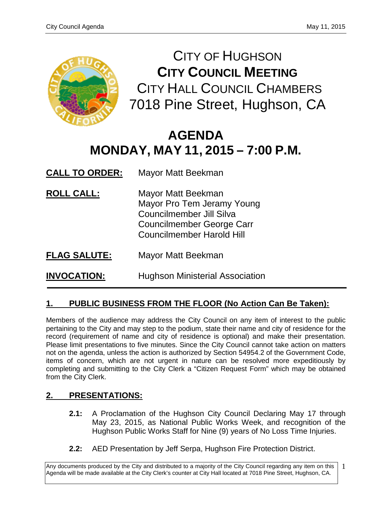

CITY OF HUGHSON **CITY COUNCIL MEETING** CITY HALL COUNCIL CHAMBERS 7018 Pine Street, Hughson, CA

# **AGENDA MONDAY, MAY 11, 2015 – 7:00 P.M.**

**CALL TO ORDER:** Mayor Matt Beekman

- **ROLL CALL:** Mayor Matt Beekman Mayor Pro Tem Jeramy Young Councilmember Jill Silva Councilmember George Carr Councilmember Harold Hill
- **FLAG SALUTE:** Mayor Matt Beekman

**INVOCATION:** Hughson Ministerial Association

# **1. PUBLIC BUSINESS FROM THE FLOOR (No Action Can Be Taken):**

Members of the audience may address the City Council on any item of interest to the public pertaining to the City and may step to the podium, state their name and city of residence for the record (requirement of name and city of residence is optional) and make their presentation. Please limit presentations to five minutes. Since the City Council cannot take action on matters not on the agenda, unless the action is authorized by Section 54954.2 of the Government Code, items of concern, which are not urgent in nature can be resolved more expeditiously by completing and submitting to the City Clerk a "Citizen Request Form" which may be obtained from the City Clerk.

# **2. PRESENTATIONS:**

- **2.1:** A Proclamation of the Hughson City Council Declaring May 17 through May 23, 2015, as National Public Works Week, and recognition of the Hughson Public Works Staff for Nine (9) years of No Loss Time Injuries.
- **2.2:** AED Presentation by Jeff Serpa, Hughson Fire Protection District.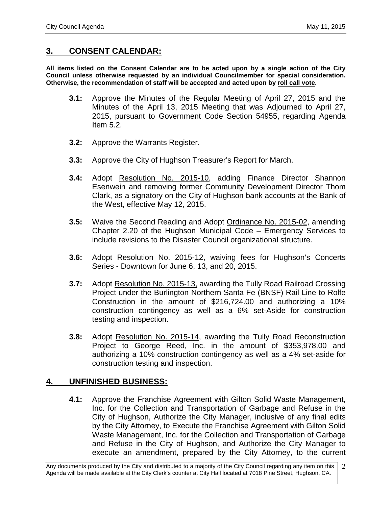## **3. CONSENT CALENDAR:**

**All items listed on the Consent Calendar are to be acted upon by a single action of the City Council unless otherwise requested by an individual Councilmember for special consideration. Otherwise, the recommendation of staff will be accepted and acted upon by roll call vote.**

- **3.1:** Approve the Minutes of the Regular Meeting of April 27, 2015 and the Minutes of the April 13, 2015 Meeting that was Adjourned to April 27, 2015, pursuant to Government Code Section 54955, regarding Agenda Item 5.2.
- **3.2:** Approve the Warrants Register.
- **3.3:** Approve the City of Hughson Treasurer's Report for March.
- **3.4:** Adopt Resolution No. 2015-10, adding Finance Director Shannon Esenwein and removing former Community Development Director Thom Clark, as a signatory on the City of Hughson bank accounts at the Bank of the West, effective May 12, 2015.
- **3.5:** Waive the Second Reading and Adopt Ordinance No. 2015-02, amending Chapter 2.20 of the Hughson Municipal Code – Emergency Services to include revisions to the Disaster Council organizational structure.
- **3.6:** Adopt Resolution No. 2015-12, waiving fees for Hughson's Concerts Series - Downtown for June 6, 13, and 20, 2015.
- **3.7:** Adopt Resolution No. 2015-13, awarding the Tully Road Railroad Crossing Project under the Burlington Northern Santa Fe (BNSF) Rail Line to Rolfe Construction in the amount of \$216,724.00 and authorizing a 10% construction contingency as well as a 6% set-Aside for construction testing and inspection.
- **3.8:** Adopt Resolution No. 2015-14, awarding the Tully Road Reconstruction Project to George Reed, Inc. in the amount of \$353,978.00 and authorizing a 10% construction contingency as well as a 4% set-aside for construction testing and inspection.

## **4. UNFINISHED BUSINESS:**

**4.1:** Approve the Franchise Agreement with Gilton Solid Waste Management, Inc. for the Collection and Transportation of Garbage and Refuse in the City of Hughson, Authorize the City Manager, inclusive of any final edits by the City Attorney, to Execute the Franchise Agreement with Gilton Solid Waste Management, Inc. for the Collection and Transportation of Garbage and Refuse in the City of Hughson, and Authorize the City Manager to execute an amendment, prepared by the City Attorney, to the current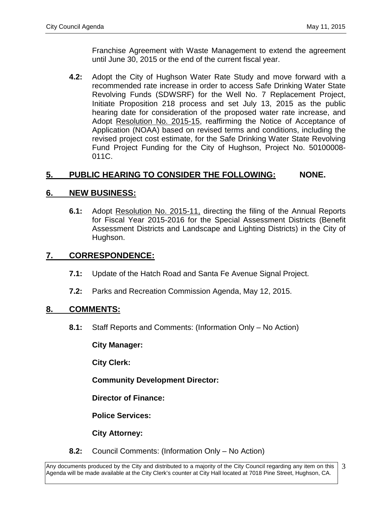Franchise Agreement with Waste Management to extend the agreement until June 30, 2015 or the end of the current fiscal year.

**4.2:** Adopt the City of Hughson Water Rate Study and move forward with a recommended rate increase in order to access Safe Drinking Water State Revolving Funds (SDWSRF) for the Well No. 7 Replacement Project, Initiate Proposition 218 process and set July 13, 2015 as the public hearing date for consideration of the proposed water rate increase, and Adopt Resolution No. 2015-15, reaffirming the Notice of Acceptance of Application (NOAA) based on revised terms and conditions, including the revised project cost estimate, for the Safe Drinking Water State Revolving Fund Project Funding for the City of Hughson, Project No. 50100008- 011C.

# **5. PUBLIC HEARING TO CONSIDER THE FOLLOWING: NONE.**

# **6. NEW BUSINESS:**

**6.1:** Adopt Resolution No. 2015-11, directing the filing of the Annual Reports for Fiscal Year 2015-2016 for the Special Assessment Districts (Benefit Assessment Districts and Landscape and Lighting Districts) in the City of Hughson.

# **7. CORRESPONDENCE:**

- **7.1:** Update of the Hatch Road and Santa Fe Avenue Signal Project.
- **7.2:** Parks and Recreation Commission Agenda, May 12, 2015.

# **8. COMMENTS:**

**8.1:** Staff Reports and Comments: (Information Only – No Action)

**City Manager:** 

**City Clerk:**

**Community Development Director:**

**Director of Finance:**

**Police Services:**

**City Attorney:**

**8.2:** Council Comments: (Information Only – No Action)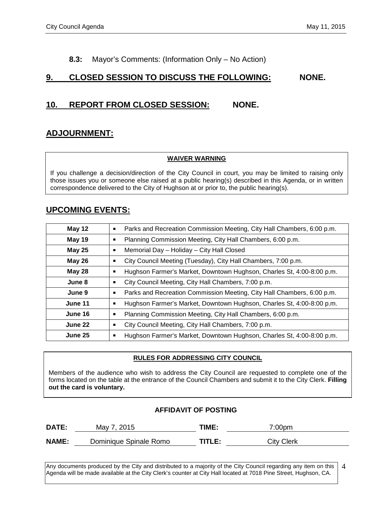### **8.3:** Mayor's Comments: (Information Only – No Action)

## **9. CLOSED SESSION TO DISCUSS THE FOLLOWING: NONE.**

# **10. REPORT FROM CLOSED SESSION: NONE.**

# **ADJOURNMENT:**

#### **WAIVER WARNING**

If you challenge a decision/direction of the City Council in court, you may be limited to raising only those issues you or someone else raised at a public hearing(s) described in this Agenda, or in written correspondence delivered to the City of Hughson at or prior to, the public hearing(s).

## **UPCOMING EVENTS:**

| May 12        | Parks and Recreation Commission Meeting, City Hall Chambers, 6:00 p.m.       |  |  |
|---------------|------------------------------------------------------------------------------|--|--|
| <b>May 19</b> | Planning Commission Meeting, City Hall Chambers, 6:00 p.m.<br>$\blacksquare$ |  |  |
| <b>May 25</b> | Memorial Day - Holiday - City Hall Closed                                    |  |  |
| <b>May 26</b> | City Council Meeting (Tuesday), City Hall Chambers, 7:00 p.m.                |  |  |
| May 28        | Hughson Farmer's Market, Downtown Hughson, Charles St, 4:00-8:00 p.m.        |  |  |
| June 8        | City Council Meeting, City Hall Chambers, 7:00 p.m.                          |  |  |
| June 9        | Parks and Recreation Commission Meeting, City Hall Chambers, 6:00 p.m.<br>ш  |  |  |
| June 11       | Hughson Farmer's Market, Downtown Hughson, Charles St, 4:00-8:00 p.m.        |  |  |
| June 16       | Planning Commission Meeting, City Hall Chambers, 6:00 p.m.                   |  |  |
| June 22       | City Council Meeting, City Hall Chambers, 7:00 p.m.                          |  |  |
| June 25       | Hughson Farmer's Market, Downtown Hughson, Charles St, 4:00-8:00 p.m.        |  |  |

#### **RULES FOR ADDRESSING CITY COUNCIL**

Members of the audience who wish to address the City Council are requested to complete one of the forms located on the table at the entrance of the Council Chambers and submit it to the City Clerk. **Filling out the card is voluntary.**

#### **AFFIDAVIT OF POSTING**

| <b>DATE:</b> | May 7, 2015            | TIME:  | 7:00pm            |  |
|--------------|------------------------|--------|-------------------|--|
| <b>NAME:</b> | Dominique Spinale Romo | TITLE: | <b>City Clerk</b> |  |